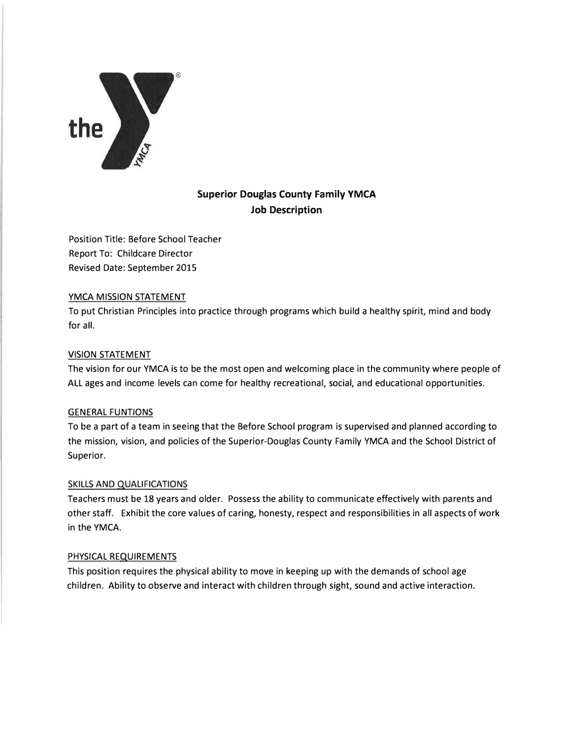

# **Superior Douglas County Family YMCA Job Description**

Position Title: Before School Teacher Report To: Childcare Director Revised Date: September 2015

## **YMCA MISSION** STATEMENT

To put Christian Principles into practice through programs which build a healthy spirit, mind and body for all.

## **VISION** STATEMENT

The vision for our YMCA is to be the most open and welcoming place in the community where people of ALL ages and income levels can come for healthy recreational, social, and educational opportunities.

## GENERAL FUNTIONS

To be a part of a team in seeing that the Before School program is supervised and planned according to the mission, vision, and policies of the Superior-Douglas County Family YMCA and the School District of Superior.

## SKILLS AND QUALIFICATIONS

Teachers must be 18 years and older. Possess the ability to communicate effectively with parents and other staff. Exhibit the core values of caring, honesty, respect and responsibilities in all aspects of work in the **YMCA.**

## PHYSICAL REQUIREMENTS

This position requires the physical ability to move in keeping up with the demands of school age children. Ability to observe and interact with children through sight, sound and active interaction.